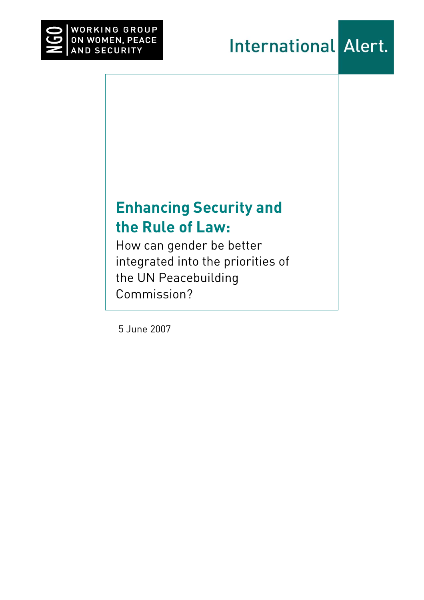

# **Enhancing Security and the Rule of Law:**

How can gender be better integrated into the priorities of the UN Peacebuilding Commission?

5 June 2007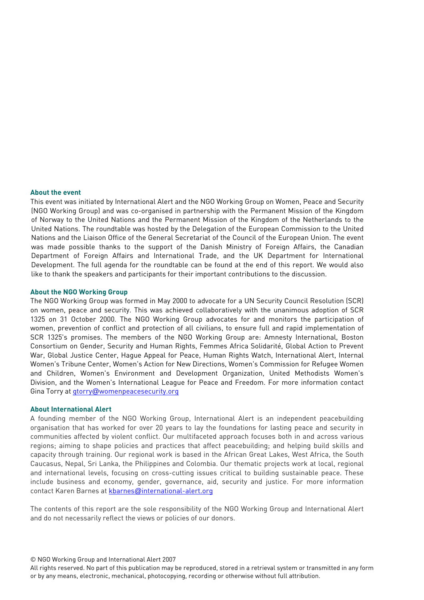### **About the event**

This event was initiated by International Alert and the NGO Working Group on Women, Peace and Security (NGO Working Group) and was co-organised in partnership with the Permanent Mission of the Kingdom of Norway to the United Nations and the Permanent Mission of the Kingdom of the Netherlands to the United Nations. The roundtable was hosted by the Delegation of the European Commission to the United Nations and the Liaison Office of the General Secretariat of the Council of the European Union. The event was made possible thanks to the support of the Danish Ministry of Foreign Affairs, the Canadian Department of Foreign Affairs and International Trade, and the UK Department for International Development. The full agenda for the roundtable can be found at the end of this report. We would also like to thank the speakers and participants for their important contributions to the discussion.

### **About the NGO Working Group**

The NGO Working Group was formed in May 2000 to advocate for a UN Security Council Resolution (SCR) on women, peace and security. This was achieved collaboratively with the unanimous adoption of SCR 1325 on 31 October 2000. The NGO Working Group advocates for and monitors the participation of women, prevention of conflict and protection of all civilians, to ensure full and rapid implementation of SCR 1325's promises. The members of the NGO Working Group are: Amnesty International, Boston Consortium on Gender, Security and Human Rights, Femmes Africa Solidarité, Global Action to Prevent War, Global Justice Center, Hague Appeal for Peace, Human Rights Watch, International Alert, Internal Women's Tribune Center, Women's Action for New Directions, Women's Commission for Refugee Women and Children, Women's Environment and Development Organization, United Methodists Women's Division, and the Women's International League for Peace and Freedom. For more information contact Gina Torry at gtorry@womenpeacesecurity.org

#### **About International Alert**

A founding member of the NGO Working Group, International Alert is an independent peacebuilding organisation that has worked for over 20 years to lay the foundations for lasting peace and security in communities affected by violent conflict. Our multifaceted approach focuses both in and across various regions; aiming to shape policies and practices that affect peacebuilding; and helping build skills and capacity through training. Our regional work is based in the African Great Lakes, West Africa, the South Caucasus, Nepal, Sri Lanka, the Philippines and Colombia. Our thematic projects work at local, regional and international levels, focusing on cross-cutting issues critical to building sustainable peace. These include business and economy, gender, governance, aid, security and justice. For more information contact Karen Barnes at kbarnes@international-alert.org

The contents of this report are the sole responsibility of the NGO Working Group and International Alert and do not necessarily reflect the views or policies of our donors.

© NGO Working Group and International Alert 2007

All rights reserved. No part of this publication may be reproduced, stored in a retrieval system or transmitted in any form or by any means, electronic, mechanical, photocopying, recording or otherwise without full attribution.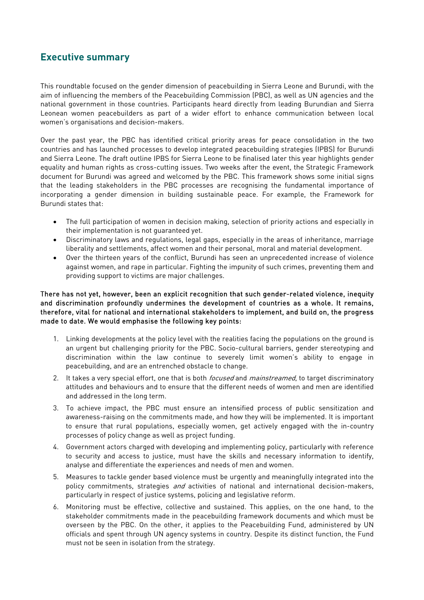## **Executive summary**

This roundtable focused on the gender dimension of peacebuilding in Sierra Leone and Burundi, with the aim of influencing the members of the Peacebuilding Commission (PBC), as well as UN agencies and the national government in those countries. Participants heard directly from leading Burundian and Sierra Leonean women peacebuilders as part of a wider effort to enhance communication between local women's organisations and decision-makers.

Over the past year, the PBC has identified critical priority areas for peace consolidation in the two countries and has launched processes to develop integrated peacebuilding strategies (IPBS) for Burundi and Sierra Leone. The draft outline IPBS for Sierra Leone to be finalised later this year highlights gender equality and human rights as cross-cutting issues. Two weeks after the event, the Strategic Framework document for Burundi was agreed and welcomed by the PBC. This framework shows some initial signs that the leading stakeholders in the PBC processes are recognising the fundamental importance of incorporating a gender dimension in building sustainable peace. For example, the Framework for Burundi states that:

- The full participation of women in decision making, selection of priority actions and especially in their implementation is not guaranteed yet.
- Discriminatory laws and regulations, legal gaps, especially in the areas of inheritance, marriage liberality and settlements, affect women and their personal, moral and material development.
- Over the thirteen years of the conflict, Burundi has seen an unprecedented increase of violence against women, and rape in particular. Fighting the impunity of such crimes, preventing them and providing support to victims are major challenges.

### There has not yet, however, been an explicit recognition that such gender-related violence, inequity and discrimination profoundly undermines the development of countries as a whole. It remains, therefore, vital for national and international stakeholders to implement, and build on, the progress made to date. We would emphasise the following key points:

- 1. Linking developments at the policy level with the realities facing the populations on the ground is an urgent but challenging priority for the PBC. Socio-cultural barriers, gender stereotyping and discrimination within the law continue to severely limit women's ability to engage in peacebuilding, and are an entrenched obstacle to change.
- 2. It takes a very special effort, one that is both *focused* and *mainstreamed*, to target discriminatory attitudes and behaviours and to ensure that the different needs of women and men are identified and addressed in the long term.
- 3. To achieve impact, the PBC must ensure an intensified process of public sensitization and awareness-raising on the commitments made, and how they will be implemented. It is important to ensure that rural populations, especially women, get actively engaged with the in-country processes of policy change as well as project funding.
- 4. Government actors charged with developing and implementing policy, particularly with reference to security and access to justice, must have the skills and necessary information to identify, analyse and differentiate the experiences and needs of men and women.
- 5. Measures to tackle gender based violence must be urgently and meaningfully integrated into the policy commitments, strategies  $and$  activities of national and international decision-makers, particularly in respect of justice systems, policing and legislative reform.
- 6. Monitoring must be effective, collective and sustained. This applies, on the one hand, to the stakeholder commitments made in the peacebuilding framework documents and which must be overseen by the PBC. On the other, it applies to the Peacebuilding Fund, administered by UN officials and spent through UN agency systems in country. Despite its distinct function, the Fund must not be seen in isolation from the strategy.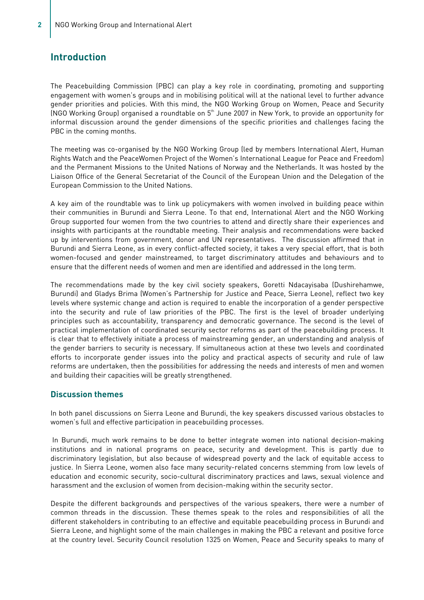## **Introduction**

The Peacebuilding Commission (PBC) can play a key role in coordinating, promoting and supporting engagement with women's groups and in mobilising political will at the national level to further advance gender priorities and policies. With this mind, the NGO Working Group on Women, Peace and Security (NGO Working Group) organised a roundtable on 5<sup>th</sup> June 2007 in New York, to provide an opportunity for informal discussion around the gender dimensions of the specific priorities and challenges facing the PBC in the coming months.

The meeting was co-organised by the NGO Working Group (led by members International Alert, Human Rights Watch and the PeaceWomen Project of the Women's International League for Peace and Freedom) and the Permanent Missions to the United Nations of Norway and the Netherlands. It was hosted by the Liaison Office of the General Secretariat of the Council of the European Union and the Delegation of the European Commission to the United Nations.

A key aim of the roundtable was to link up policymakers with women involved in building peace within their communities in Burundi and Sierra Leone. To that end, International Alert and the NGO Working Group supported four women from the two countries to attend and directly share their experiences and insights with participants at the roundtable meeting. Their analysis and recommendations were backed up by interventions from government, donor and UN representatives. The discussion affirmed that in Burundi and Sierra Leone, as in every conflict-affected society, it takes a very special effort, that is both women-focused and gender mainstreamed, to target discriminatory attitudes and behaviours and to ensure that the different needs of women and men are identified and addressed in the long term.

The recommendations made by the key civil society speakers, Goretti Ndacayisaba (Dushirehamwe, Burundi) and Gladys Brima (Women's Partnership for Justice and Peace, Sierra Leone), reflect two key levels where systemic change and action is required to enable the incorporation of a gender perspective into the security and rule of law priorities of the PBC. The first is the level of broader underlying principles such as accountability, transparency and democratic governance. The second is the level of practical implementation of coordinated security sector reforms as part of the peacebuilding process. It is clear that to effectively initiate a process of mainstreaming gender, an understanding and analysis of the gender barriers to security is necessary. If simultaneous action at these two levels and coordinated efforts to incorporate gender issues into the policy and practical aspects of security and rule of law reforms are undertaken, then the possibilities for addressing the needs and interests of men and women and building their capacities will be greatly strengthened.

### **Discussion themes**

In both panel discussions on Sierra Leone and Burundi, the key speakers discussed various obstacles to women's full and effective participation in peacebuilding processes.

 In Burundi, much work remains to be done to better integrate women into national decision-making institutions and in national programs on peace, security and development. This is partly due to discriminatory legislation, but also because of widespread poverty and the lack of equitable access to justice. In Sierra Leone, women also face many security-related concerns stemming from low levels of education and economic security, socio-cultural discriminatory practices and laws, sexual violence and harassment and the exclusion of women from decision-making within the security sector.

Despite the different backgrounds and perspectives of the various speakers, there were a number of common threads in the discussion. These themes speak to the roles and responsibilities of all the different stakeholders in contributing to an effective and equitable peacebuilding process in Burundi and Sierra Leone, and highlight some of the main challenges in making the PBC a relevant and positive force at the country level. Security Council resolution 1325 on Women, Peace and Security speaks to many of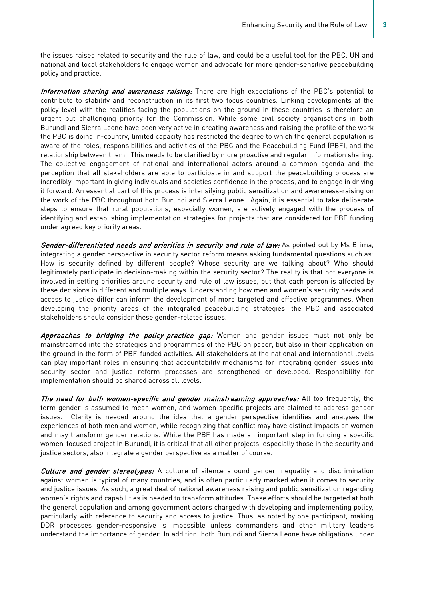the issues raised related to security and the rule of law, and could be a useful tool for the PBC, UN and national and local stakeholders to engage women and advocate for more gender-sensitive peacebuilding policy and practice.

Information-sharing and awareness-raising: There are high expectations of the PBC's potential to contribute to stability and reconstruction in its first two focus countries. Linking developments at the policy level with the realities facing the populations on the ground in these countries is therefore an urgent but challenging priority for the Commission. While some civil society organisations in both Burundi and Sierra Leone have been very active in creating awareness and raising the profile of the work the PBC is doing in-country, limited capacity has restricted the degree to which the general population is aware of the roles, responsibilities and activities of the PBC and the Peacebuilding Fund (PBF), and the relationship between them. This needs to be clarified by more proactive and regular information sharing. The collective engagement of national and international actors around a common agenda and the perception that all stakeholders are able to participate in and support the peacebuilding process are incredibly important in giving individuals and societies confidence in the process, and to engage in driving it forward. An essential part of this process is intensifying public sensitization and awareness-raising on the work of the PBC throughout both Burundi and Sierra Leone. Again, it is essential to take deliberate steps to ensure that rural populations, especially women, are actively engaged with the process of identifying and establishing implementation strategies for projects that are considered for PBF funding under agreed key priority areas.

Gender-differentiated needs and priorities in security and rule of law: As pointed out by Ms Brima, integrating a gender perspective in security sector reform means asking fundamental questions such as: How is security defined by different people? Whose security are we talking about? Who should legitimately participate in decision-making within the security sector? The reality is that not everyone is involved in setting priorities around security and rule of law issues, but that each person is affected by these decisions in different and multiple ways. Understanding how men and women's security needs and access to justice differ can inform the development of more targeted and effective programmes. When developing the priority areas of the integrated peacebuilding strategies, the PBC and associated stakeholders should consider these gender-related issues.

Approaches to bridging the policy-practice gap: Women and gender issues must not only be mainstreamed into the strategies and programmes of the PBC on paper, but also in their application on the ground in the form of PBF-funded activities. All stakeholders at the national and international levels can play important roles in ensuring that accountability mechanisms for integrating gender issues into security sector and justice reform processes are strengthened or developed. Responsibility for implementation should be shared across all levels.

The need for both women-specific and gender mainstreaming approaches: All too frequently, the term gender is assumed to mean women, and women-specific projects are claimed to address gender issues. Clarity is needed around the idea that a gender perspective identifies and analyses the experiences of both men and women, while recognizing that conflict may have distinct impacts on women and may transform gender relations. While the PBF has made an important step in funding a specific women-focused project in Burundi, it is critical that all other projects, especially those in the security and justice sectors, also integrate a gender perspective as a matter of course.

Culture and gender stereotypes: A culture of silence around gender inequality and discrimination against women is typical of many countries, and is often particularly marked when it comes to security and justice issues. As such, a great deal of national awareness raising and public sensitization regarding women's rights and capabilities is needed to transform attitudes. These efforts should be targeted at both the general population and among government actors charged with developing and implementing policy, particularly with reference to security and access to justice. Thus, as noted by one participant, making DDR processes gender-responsive is impossible unless commanders and other military leaders understand the importance of gender. In addition, both Burundi and Sierra Leone have obligations under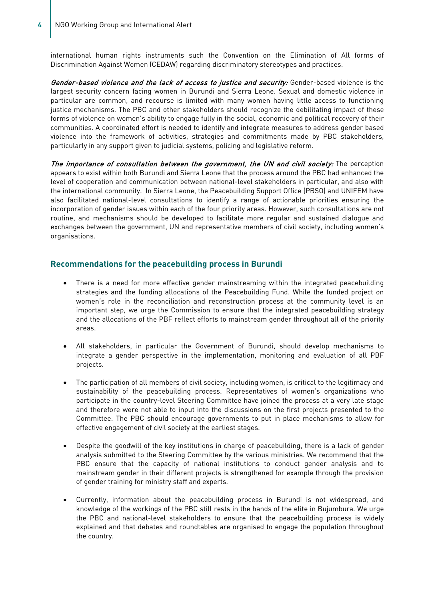international human rights instruments such the Convention on the Elimination of All forms of Discrimination Against Women (CEDAW) regarding discriminatory stereotypes and practices.

Gender-based violence and the lack of access to justice and security: Gender-based violence is the largest security concern facing women in Burundi and Sierra Leone. Sexual and domestic violence in particular are common, and recourse is limited with many women having little access to functioning justice mechanisms. The PBC and other stakeholders should recognize the debilitating impact of these forms of violence on women's ability to engage fully in the social, economic and political recovery of their communities. A coordinated effort is needed to identify and integrate measures to address gender based violence into the framework of activities, strategies and commitments made by PBC stakeholders, particularly in any support given to judicial systems, policing and legislative reform.

The importance of consultation between the government, the UN and civil society: The perception appears to exist within both Burundi and Sierra Leone that the process around the PBC had enhanced the level of cooperation and communication between national-level stakeholders in particular, and also with the international community. In Sierra Leone, the Peacebuilding Support Office (PBSO) and UNIFEM have also facilitated national-level consultations to identify a range of actionable priorities ensuring the incorporation of gender issues within each of the four priority areas. However, such consultations are not routine, and mechanisms should be developed to facilitate more regular and sustained dialogue and exchanges between the government, UN and representative members of civil society, including women's organisations.

### **Recommendations for the peacebuilding process in Burundi**

- There is a need for more effective gender mainstreaming within the integrated peacebuilding strategies and the funding allocations of the Peacebuilding Fund. While the funded project on women's role in the reconciliation and reconstruction process at the community level is an important step, we urge the Commission to ensure that the integrated peacebuilding strategy and the allocations of the PBF reflect efforts to mainstream gender throughout all of the priority areas.
- All stakeholders, in particular the Government of Burundi, should develop mechanisms to integrate a gender perspective in the implementation, monitoring and evaluation of all PBF projects.
- The participation of all members of civil society, including women, is critical to the legitimacy and sustainability of the peacebuilding process. Representatives of women's organizations who participate in the country-level Steering Committee have joined the process at a very late stage and therefore were not able to input into the discussions on the first projects presented to the Committee. The PBC should encourage governments to put in place mechanisms to allow for effective engagement of civil society at the earliest stages.
- Despite the goodwill of the key institutions in charge of peacebuilding, there is a lack of gender analysis submitted to the Steering Committee by the various ministries. We recommend that the PBC ensure that the capacity of national institutions to conduct gender analysis and to mainstream gender in their different projects is strengthened for example through the provision of gender training for ministry staff and experts.
- Currently, information about the peacebuilding process in Burundi is not widespread, and knowledge of the workings of the PBC still rests in the hands of the elite in Bujumbura. We urge the PBC and national-level stakeholders to ensure that the peacebuilding process is widely explained and that debates and roundtables are organised to engage the population throughout the country.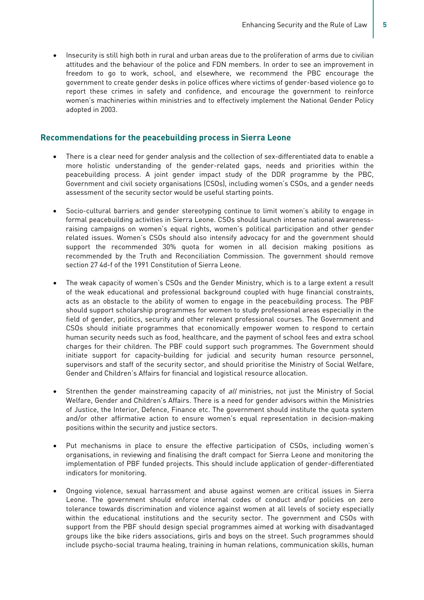• Insecurity is still high both in rural and urban areas due to the proliferation of arms due to civilian attitudes and the behaviour of the police and FDN members. In order to see an improvement in freedom to go to work, school, and elsewhere, we recommend the PBC encourage the government to create gender desks in police offices where victims of gender-based violence go to report these crimes in safety and confidence, and encourage the government to reinforce women's machineries within ministries and to effectively implement the National Gender Policy adopted in 2003.

### **Recommendations for the peacebuilding process in Sierra Leone**

- There is a clear need for gender analysis and the collection of sex-differentiated data to enable a more holistic understanding of the gender-related gaps, needs and priorities within the peacebuilding process. A joint gender impact study of the DDR programme by the PBC, Government and civil society organisations (CSOs), including women's CSOs, and a gender needs assessment of the security sector would be useful starting points.
- Socio-cultural barriers and gender stereotyping continue to limit women's ability to engage in formal peacebuilding activities in Sierra Leone. CSOs should launch intense national awarenessraising campaigns on women's equal rights, women's political participation and other gender related issues. Women's CSOs should also intensify advocacy for and the government should support the recommended 30% quota for women in all decision making positions as recommended by the Truth and Reconciliation Commission. The government should remove section 27 4d-f of the 1991 Constitution of Sierra Leone.
- The weak capacity of women's CSOs and the Gender Ministry, which is to a large extent a result of the weak educational and professional background coupled with huge financial constraints, acts as an obstacle to the ability of women to engage in the peacebuilding process. The PBF should support scholarship programmes for women to study professional areas especially in the field of gender, politics, security and other relevant professional courses. The Government and CSOs should initiate programmes that economically empower women to respond to certain human security needs such as food, healthcare, and the payment of school fees and extra school charges for their children. The PBF could support such programmes. The Government should initiate support for capacity-building for judicial and security human resource personnel, supervisors and staff of the security sector, and should prioritise the Ministry of Social Welfare, Gender and Children's Affairs for financial and logistical resource allocation.
- Strenthen the gender mainstreaming capacity of *all* ministries, not just the Ministry of Social Welfare, Gender and Children's Affairs. There is a need for gender advisors within the Ministries of Justice, the Interior, Defence, Finance etc. The government should institute the quota system and/or other affirmative action to ensure women's equal representation in decision-making positions within the security and justice sectors.
- Put mechanisms in place to ensure the effective participation of CSOs, including women's organisations, in reviewing and finalising the draft compact for Sierra Leone and monitoring the implementation of PBF funded projects. This should include application of gender-differentiated indicators for monitoring.
- Ongoing violence, sexual harrassment and abuse against women are critical issues in Sierra Leone. The government should enforce internal codes of conduct and/or policies on zero tolerance towards discrimination and violence against women at all levels of society especially within the educational institutions and the security sector. The government and CSOs with support from the PBF should design special programmes aimed at working with disadvantaged groups like the bike riders associations, girls and boys on the street. Such programmes should include psycho-social trauma healing, training in human relations, communication skills, human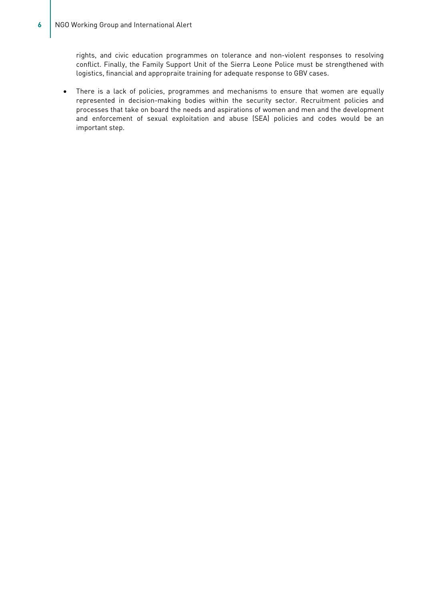rights, and civic education programmes on tolerance and non-violent responses to resolving conflict. Finally, the Family Support Unit of the Sierra Leone Police must be strengthened with logistics, financial and appropraite training for adequate response to GBV cases.

• There is a lack of policies, programmes and mechanisms to ensure that women are equally represented in decision-making bodies within the security sector. Recruitment policies and processes that take on board the needs and aspirations of women and men and the development and enforcement of sexual exploitation and abuse (SEA) policies and codes would be an important step.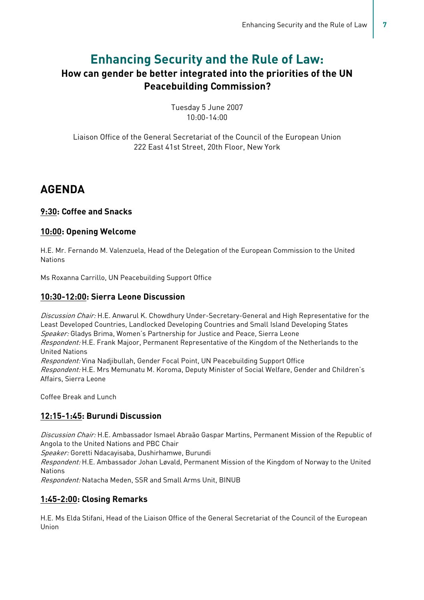## **Enhancing Security and the Rule of Law:**

## **How can gender be better integrated into the priorities of the UN Peacebuilding Commission?**

Tuesday 5 June 2007 10:00-14:00

Liaison Office of the General Secretariat of the Council of the European Union 222 East 41st Street, 20th Floor, New York

## **AGENDA**

### **9:30: Coffee and Snacks**

### **10:00: Opening Welcome**

H.E. Mr. Fernando M. Valenzuela, Head of the Delegation of the European Commission to the United **Nations** 

Ms Roxanna Carrillo, UN Peacebuilding Support Office

### **10:30-12:00: Sierra Leone Discussion**

Discussion Chair: H.E. Anwarul K. Chowdhury Under-Secretary-General and High Representative for the Least Developed Countries, Landlocked Developing Countries and Small Island Developing States Speaker: Gladys Brima, Women's Partnership for Justice and Peace, Sierra Leone Respondent: H.E. Frank Majoor, Permanent Representative of the Kingdom of the Netherlands to the United Nations Respondent: Vina Nadjibullah, Gender Focal Point, UN Peacebuilding Support Office Respondent: H.E. Mrs Memunatu M. Koroma, Deputy Minister of Social Welfare, Gender and Children's Affairs, Sierra Leone

Coffee Break and Lunch

## **12:15-1:45: Burundi Discussion**

Discussion Chair: H.E. Ambassador Ismael Abraão Gaspar Martins, Permanent Mission of the Republic of Angola to the United Nations and PBC Chair

Speaker: Goretti Ndacayisaba, Dushirhamwe, Burundi

Respondent: H.E. Ambassador Johan Løvald, Permanent Mission of the Kingdom of Norway to the United Nations

Respondent: Natacha Meden, SSR and Small Arms Unit, BINUB

## **1:45-2:00: Closing Remarks**

H.E. Ms Elda Stifani, Head of the Liaison Office of the General Secretariat of the Council of the European Union